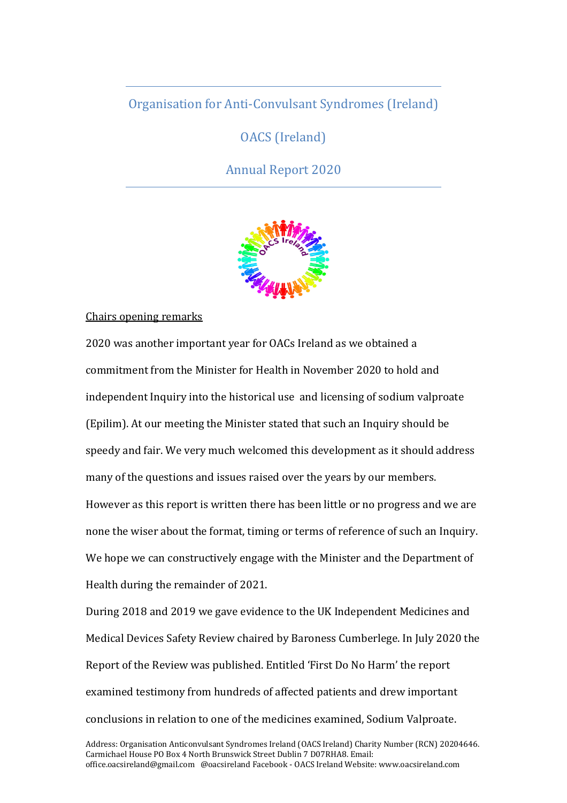# Organisation for Anti-Convulsant Syndromes (Ireland)

OACS (Ireland)

Annual Report 2020



## Chairs opening remarks

2020 was another important year for OACs Ireland as we obtained a commitment from the Minister for Health in November 2020 to hold and independent Inquiry into the historical use and licensing of sodium valproate (Epilim). At our meeting the Minister stated that such an Inquiry should be speedy and fair. We very much welcomed this development as it should address many of the questions and issues raised over the years by our members. However as this report is written there has been little or no progress and we are none the wiser about the format, timing or terms of reference of such an Inquiry. We hope we can constructively engage with the Minister and the Department of Health during the remainder of 2021.

During 2018 and 2019 we gave evidence to the UK Independent Medicines and Medical Devices Safety Review chaired by Baroness Cumberlege. In July 2020 the Report of the Review was published. Entitled 'First Do No Harm' the report examined testimony from hundreds of affected patients and drew important conclusions in relation to one of the medicines examined, Sodium Valproate.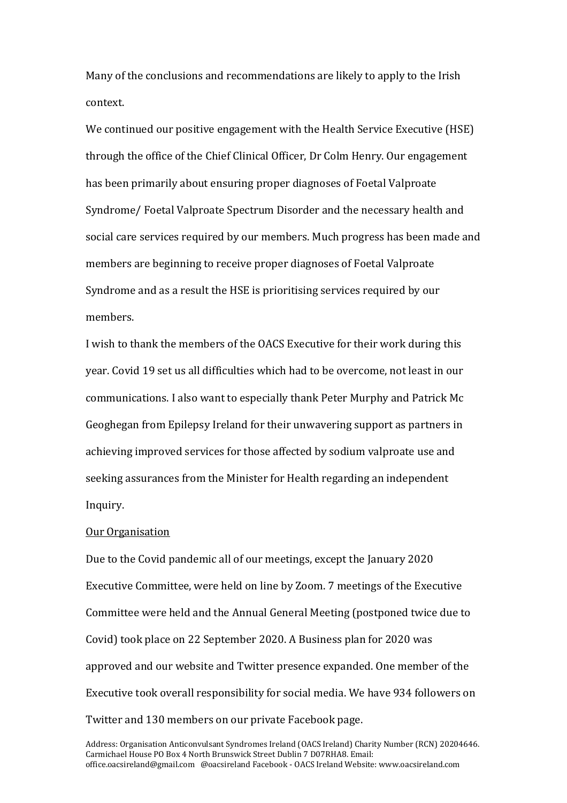Many of the conclusions and recommendations are likely to apply to the Irish context.

We continued our positive engagement with the Health Service Executive (HSE) through the office of the Chief Clinical Officer, Dr Colm Henry. Our engagement has been primarily about ensuring proper diagnoses of Foetal Valproate Syndrome/ Foetal Valproate Spectrum Disorder and the necessary health and social care services required by our members. Much progress has been made and members are beginning to receive proper diagnoses of Foetal Valproate Syndrome and as a result the HSE is prioritising services required by our members.

I wish to thank the members of the OACS Executive for their work during this year. Covid 19 set us all difficulties which had to be overcome, not least in our communications. I also want to especially thank Peter Murphy and Patrick Mc Geoghegan from Epilepsy Ireland for their unwavering support as partners in achieving improved services for those affected by sodium valproate use and seeking assurances from the Minister for Health regarding an independent Inquiry.

## Our Organisation

Due to the Covid pandemic all of our meetings, except the January 2020 Executive Committee, were held on line by Zoom. 7 meetings of the Executive Committee were held and the Annual General Meeting (postponed twice due to Covid) took place on 22 September 2020. A Business plan for 2020 was approved and our website and Twitter presence expanded. One member of the Executive took overall responsibility for social media. We have 934 followers on Twitter and 130 members on our private Facebook page.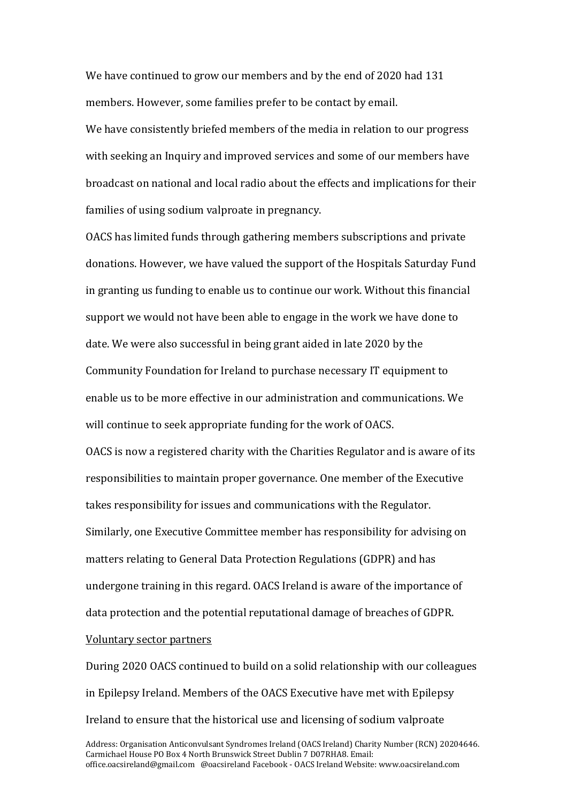We have continued to grow our members and by the end of 2020 had 131 members. However, some families prefer to be contact by email. We have consistently briefed members of the media in relation to our progress with seeking an Inquiry and improved services and some of our members have broadcast on national and local radio about the effects and implications for their families of using sodium valproate in pregnancy.

OACS has limited funds through gathering members subscriptions and private donations. However, we have valued the support of the Hospitals Saturday Fund in granting us funding to enable us to continue our work. Without this financial support we would not have been able to engage in the work we have done to date. We were also successful in being grant aided in late 2020 by the Community Foundation for Ireland to purchase necessary IT equipment to enable us to be more effective in our administration and communications. We will continue to seek appropriate funding for the work of OACS.

OACS is now a registered charity with the Charities Regulator and is aware of its responsibilities to maintain proper governance. One member of the Executive takes responsibility for issues and communications with the Regulator. Similarly, one Executive Committee member has responsibility for advising on matters relating to General Data Protection Regulations (GDPR) and has undergone training in this regard. OACS Ireland is aware of the importance of data protection and the potential reputational damage of breaches of GDPR.

## Voluntary sector partners

During 2020 OACS continued to build on a solid relationship with our colleagues in Epilepsy Ireland. Members of the OACS Executive have met with Epilepsy Ireland to ensure that the historical use and licensing of sodium valproate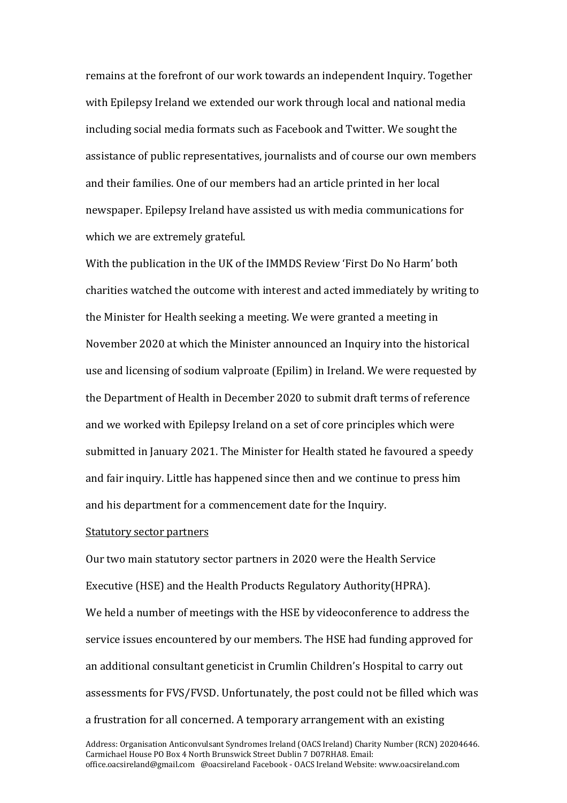remains at the forefront of our work towards an independent Inquiry. Together with Epilepsy Ireland we extended our work through local and national media including social media formats such as Facebook and Twitter. We sought the assistance of public representatives, journalists and of course our own members and their families. One of our members had an article printed in her local newspaper. Epilepsy Ireland have assisted us with media communications for which we are extremely grateful.

With the publication in the UK of the IMMDS Review 'First Do No Harm' both charities watched the outcome with interest and acted immediately by writing to the Minister for Health seeking a meeting. We were granted a meeting in November 2020 at which the Minister announced an Inquiry into the historical use and licensing of sodium valproate (Epilim) in Ireland. We were requested by the Department of Health in December 2020 to submit draft terms of reference and we worked with Epilepsy Ireland on a set of core principles which were submitted in January 2021. The Minister for Health stated he favoured a speedy and fair inquiry. Little has happened since then and we continue to press him and his department for a commencement date for the Inquiry.

#### Statutory sector partners

Our two main statutory sector partners in 2020 were the Health Service Executive (HSE) and the Health Products Regulatory Authority(HPRA). We held a number of meetings with the HSE by videoconference to address the service issues encountered by our members. The HSE had funding approved for an additional consultant geneticist in Crumlin Children's Hospital to carry out assessments for FVS/FVSD. Unfortunately, the post could not be filled which was a frustration for all concerned. A temporary arrangement with an existing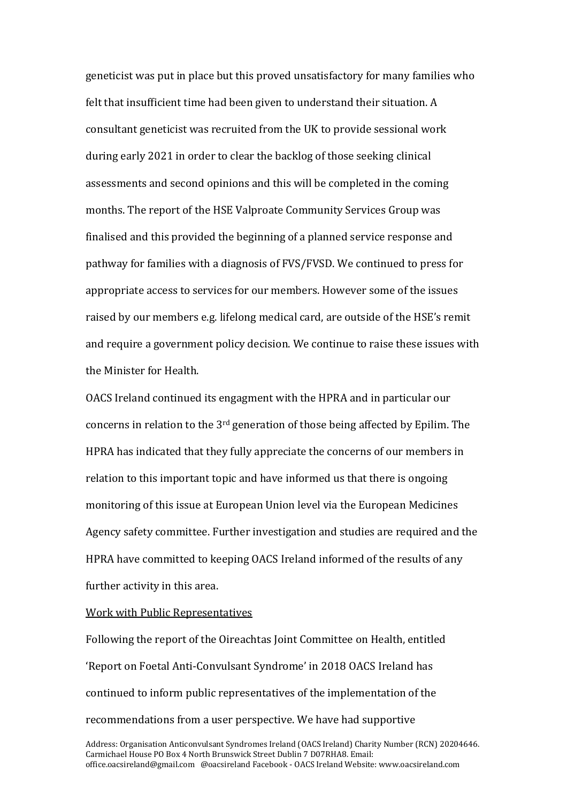geneticist was put in place but this proved unsatisfactory for many families who felt that insufficient time had been given to understand their situation. A consultant geneticist was recruited from the UK to provide sessional work during early 2021 in order to clear the backlog of those seeking clinical assessments and second opinions and this will be completed in the coming months. The report of the HSE Valproate Community Services Group was finalised and this provided the beginning of a planned service response and pathway for families with a diagnosis of FVS/FVSD. We continued to press for appropriate access to services for our members. However some of the issues raised by our members e.g. lifelong medical card, are outside of the HSE's remit and require a government policy decision. We continue to raise these issues with the Minister for Health.

OACS Ireland continued its engagment with the HPRA and in particular our concerns in relation to the 3rd generation of those being affected by Epilim. The HPRA has indicated that they fully appreciate the concerns of our members in relation to this important topic and have informed us that there is ongoing monitoring of this issue at European Union level via the European Medicines Agency safety committee. Further investigation and studies are required and the HPRA have committed to keeping OACS Ireland informed of the results of any further activity in this area.

Work with Public Representatives

Following the report of the Oireachtas Joint Committee on Health, entitled 'Report on Foetal Anti-Convulsant Syndrome' in 2018 OACS Ireland has continued to inform public representatives of the implementation of the recommendations from a user perspective. We have had supportive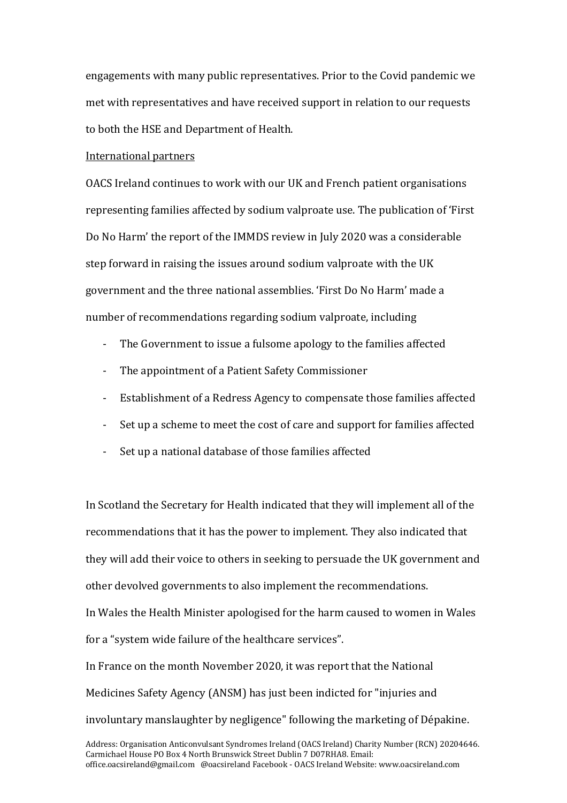engagements with many public representatives. Prior to the Covid pandemic we met with representatives and have received support in relation to our requests to both the HSE and Department of Health.

### International partners

OACS Ireland continues to work with our UK and French patient organisations representing families affected by sodium valproate use. The publication of 'First Do No Harm' the report of the IMMDS review in July 2020 was a considerable step forward in raising the issues around sodium valproate with the UK government and the three national assemblies. 'First Do No Harm' made a number of recommendations regarding sodium valproate, including

- The Government to issue a fulsome apology to the families affected
- The appointment of a Patient Safety Commissioner
- Establishment of a Redress Agency to compensate those families affected
- Set up a scheme to meet the cost of care and support for families affected
- Set up a national database of those families affected

In Scotland the Secretary for Health indicated that they will implement all of the recommendations that it has the power to implement. They also indicated that they will add their voice to others in seeking to persuade the UK government and other devolved governments to also implement the recommendations.

In Wales the Health Minister apologised for the harm caused to women in Wales for a "system wide failure of the healthcare services".

In France on the month November 2020, it was report that the National Medicines Safety Agency (ANSM) has just been indicted for "injuries and involuntary manslaughter by negligence" following the marketing of Dépakine.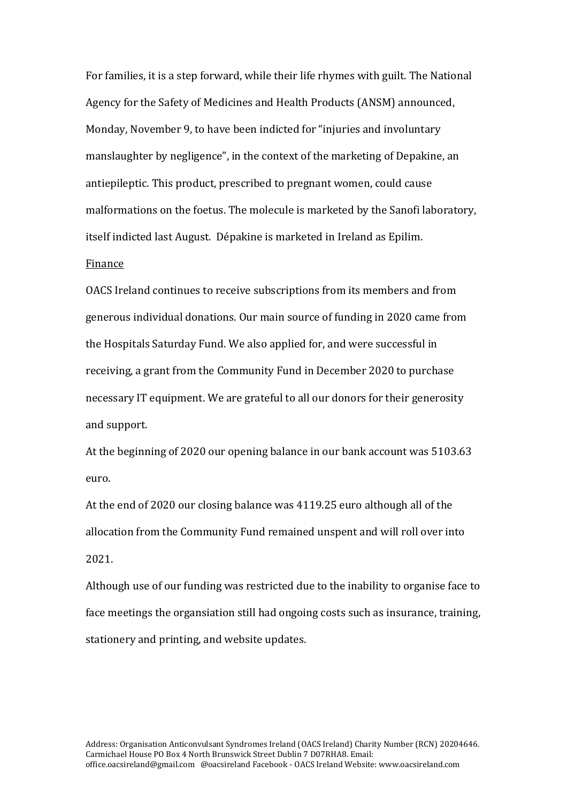For families, it is a step forward, while their life rhymes with guilt. The National Agency for the Safety of Medicines and Health Products (ANSM) announced, Monday, November 9, to have been indicted for "injuries and involuntary manslaughter by negligence", in the context of the marketing of Depakine, an antiepileptic. This product, prescribed to pregnant women, could cause malformations on the foetus. The molecule is marketed by the Sanofi laboratory, itself indicted last August. Dépakine is marketed in Ireland as Epilim.

#### Finance

OACS Ireland continues to receive subscriptions from its members and from generous individual donations. Our main source of funding in 2020 came from the Hospitals Saturday Fund. We also applied for, and were successful in receiving, a grant from the Community Fund in December 2020 to purchase necessary IT equipment. We are grateful to all our donors for their generosity and support.

At the beginning of 2020 our opening balance in our bank account was 5103.63 euro.

At the end of 2020 our closing balance was 4119.25 euro although all of the allocation from the Community Fund remained unspent and will roll over into 2021.

Although use of our funding was restricted due to the inability to organise face to face meetings the organsiation still had ongoing costs such as insurance, training, stationery and printing, and website updates.